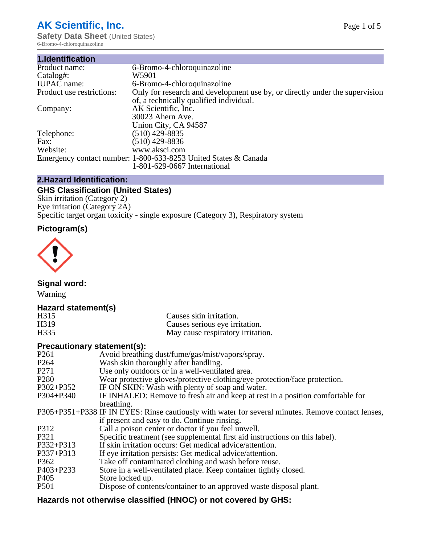# **AK Scientific, Inc.**

**Safety Data Sheet (United States)** 6-Bromo-4-chloroquinazoline

| 1.Identification          |                                                                                                                        |
|---------------------------|------------------------------------------------------------------------------------------------------------------------|
| Product name:             | 6-Bromo-4-chloroquinazoline                                                                                            |
| Catalog#:                 | W5901                                                                                                                  |
| <b>IUPAC</b> name:        | 6-Bromo-4-chloroquinazoline                                                                                            |
| Product use restrictions: | Only for research and development use by, or directly under the supervision<br>of, a technically qualified individual. |
| Company:                  | AK Scientific, Inc.<br>30023 Ahern Ave.<br>Union City, CA 94587                                                        |
| Telephone:                | $(510)$ 429-8835                                                                                                       |
| Fax:                      | (510) 429-8836                                                                                                         |
| Website:                  | www.aksci.com                                                                                                          |
|                           | Emergency contact number: 1-800-633-8253 United States & Canada                                                        |
|                           | 1-801-629-0667 International                                                                                           |

## **2.Hazard Identification:**

## **GHS Classification (United States)**

Skin irritation (Category 2) Eye irritation (Category 2A) Specific target organ toxicity - single exposure (Category 3), Respiratory system

## **Pictogram(s)**



**Signal word:**

Warning

## **Hazard statement(s)**

| H315 | Causes skin irritation.           |
|------|-----------------------------------|
| H319 | Causes serious eye irritation.    |
| H335 | May cause respiratory irritation. |

## **Precautionary statement(s):**

| P <sub>261</sub> | Avoid breathing dust/fume/gas/mist/vapors/spray.                                                   |
|------------------|----------------------------------------------------------------------------------------------------|
| P <sub>264</sub> | Wash skin thoroughly after handling.                                                               |
| P <sub>271</sub> | Use only outdoors or in a well-ventilated area.                                                    |
| P <sub>280</sub> | Wear protective gloves/protective clothing/eye protection/face protection.                         |
| P302+P352        | IF ON SKIN: Wash with plenty of soap and water.                                                    |
| $P304 + P340$    | IF INHALED: Remove to fresh air and keep at rest in a position comfortable for                     |
|                  | breathing.                                                                                         |
|                  | P305+P351+P338 IF IN EYES: Rinse cautiously with water for several minutes. Remove contact lenses, |
|                  | if present and easy to do. Continue rinsing.                                                       |
| P312             | Call a poison center or doctor if you feel unwell.                                                 |
| P321             | Specific treatment (see supplemental first aid instructions on this label).                        |
| P332+P313        | If skin irritation occurs: Get medical advice/attention.                                           |
| P337+P313        | If eye irritation persists: Get medical advice/attention.                                          |
| P362             | Take off contaminated clothing and wash before reuse.                                              |
| $P403 + P233$    | Store in a well-ventilated place. Keep container tightly closed.                                   |
| P <sub>405</sub> | Store locked up.                                                                                   |
| P <sub>501</sub> | Dispose of contents/container to an approved waste disposal plant.                                 |
|                  |                                                                                                    |

## **Hazards not otherwise classified (HNOC) or not covered by GHS:**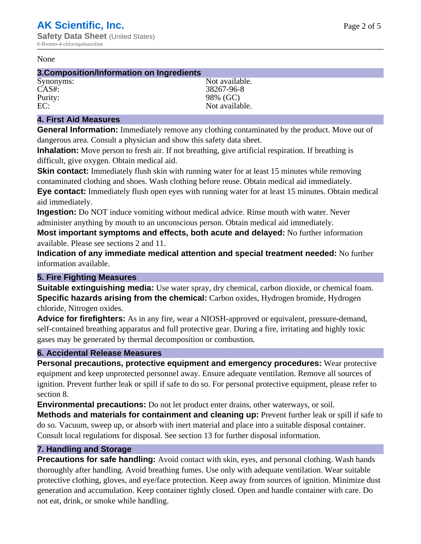#### None

### **3.Composition/Information on Ingredients**

Synonyms: Not available. CAS#: 38267-96-8 Purity: 98% (GC)<br>EC: Not available with the set of the set of the set of the set of the set of the set of the set of the set of the set of the set of the set of the set of the set of the set of the set of the set of the se Not available.

## **4. First Aid Measures**

**General Information:** Immediately remove any clothing contaminated by the product. Move out of dangerous area. Consult a physician and show this safety data sheet.

**Inhalation:** Move person to fresh air. If not breathing, give artificial respiration. If breathing is difficult, give oxygen. Obtain medical aid.

**Skin contact:** Immediately flush skin with running water for at least 15 minutes while removing contaminated clothing and shoes. Wash clothing before reuse. Obtain medical aid immediately. **Eye contact:** Immediately flush open eyes with running water for at least 15 minutes. Obtain medical aid immediately.

**Ingestion:** Do NOT induce vomiting without medical advice. Rinse mouth with water. Never administer anything by mouth to an unconscious person. Obtain medical aid immediately.

**Most important symptoms and effects, both acute and delayed:** No further information available. Please see sections 2 and 11.

**Indication of any immediate medical attention and special treatment needed:** No further information available.

## **5. Fire Fighting Measures**

**Suitable extinguishing media:** Use water spray, dry chemical, carbon dioxide, or chemical foam. **Specific hazards arising from the chemical:** Carbon oxides, Hydrogen bromide, Hydrogen chloride, Nitrogen oxides.

**Advice for firefighters:** As in any fire, wear a NIOSH-approved or equivalent, pressure-demand, self-contained breathing apparatus and full protective gear. During a fire, irritating and highly toxic gases may be generated by thermal decomposition or combustion.

## **6. Accidental Release Measures**

**Personal precautions, protective equipment and emergency procedures:** Wear protective equipment and keep unprotected personnel away. Ensure adequate ventilation. Remove all sources of ignition. Prevent further leak or spill if safe to do so. For personal protective equipment, please refer to section 8.

**Environmental precautions:** Do not let product enter drains, other waterways, or soil.

**Methods and materials for containment and cleaning up:** Prevent further leak or spill if safe to do so. Vacuum, sweep up, or absorb with inert material and place into a suitable disposal container. Consult local regulations for disposal. See section 13 for further disposal information.

## **7. Handling and Storage**

**Precautions for safe handling:** Avoid contact with skin, eyes, and personal clothing. Wash hands thoroughly after handling. Avoid breathing fumes. Use only with adequate ventilation. Wear suitable protective clothing, gloves, and eye/face protection. Keep away from sources of ignition. Minimize dust generation and accumulation. Keep container tightly closed. Open and handle container with care. Do not eat, drink, or smoke while handling.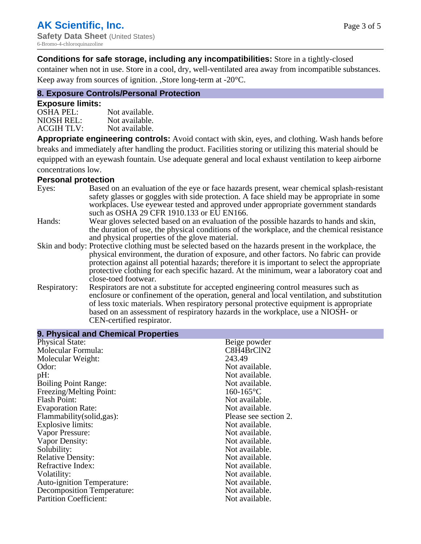## **Conditions for safe storage, including any incompatibilities:** Store in a tightly-closed

container when not in use. Store in a cool, dry, well-ventilated area away from incompatible substances. Keep away from sources of ignition. ,Store long-term at -20°C.

## **8. Exposure Controls/Personal Protection**

### **Exposure limits:**

| <b>OSHA PEL:</b>  | Not available. |
|-------------------|----------------|
| NIOSH REL:        | Not available. |
| <b>ACGIH TLV:</b> | Not available. |

**Appropriate engineering controls:** Avoid contact with skin, eyes, and clothing. Wash hands before breaks and immediately after handling the product. Facilities storing or utilizing this material should be equipped with an eyewash fountain. Use adequate general and local exhaust ventilation to keep airborne concentrations low.

#### **Personal protection**

| Eyes:        | Based on an evaluation of the eye or face hazards present, wear chemical splash-resistant<br>safety glasses or goggles with side protection. A face shield may be appropriate in some |
|--------------|---------------------------------------------------------------------------------------------------------------------------------------------------------------------------------------|
|              | workplaces. Use eyewear tested and approved under appropriate government standards<br>such as OSHA 29 CFR 1910.133 or EU EN166.                                                       |
| Hands:       | Wear gloves selected based on an evaluation of the possible hazards to hands and skin,                                                                                                |
|              | the duration of use, the physical conditions of the workplace, and the chemical resistance                                                                                            |
|              | and physical properties of the glove material.                                                                                                                                        |
|              | Skin and body: Protective clothing must be selected based on the hazards present in the workplace, the                                                                                |
|              | physical environment, the duration of exposure, and other factors. No fabric can provide                                                                                              |
|              | protection against all potential hazards; therefore it is important to select the appropriate                                                                                         |
|              | protective clothing for each specific hazard. At the minimum, wear a laboratory coat and                                                                                              |
|              | close-toed footwear.                                                                                                                                                                  |
| Respiratory: | Respirators are not a substitute for accepted engineering control measures such as<br>enclosure or confinement of the operation, general and local ventilation, and substitution      |
|              | of less toxic materials. When respiratory personal protective equipment is appropriate                                                                                                |
|              | based on an assessment of respiratory hazards in the workplace, use a NIOSH- or                                                                                                       |
|              | CEN-certified respirator.                                                                                                                                                             |

| 9. Physical and Chemical Properties |                       |
|-------------------------------------|-----------------------|
| <b>Physical State:</b>              | Beige powder          |
| Molecular Formula:                  | C8H4BrClN2            |
| Molecular Weight:                   | 243.49                |
| Odor:                               | Not available.        |
| pH:                                 | Not available.        |
| <b>Boiling Point Range:</b>         | Not available.        |
| Freezing/Melting Point:             | $160 - 165$ °C        |
| <b>Flash Point:</b>                 | Not available.        |
| <b>Evaporation Rate:</b>            | Not available.        |
| Flammability(solid,gas):            | Please see section 2. |
| <b>Explosive limits:</b>            | Not available.        |
| Vapor Pressure:                     | Not available.        |
| Vapor Density:                      | Not available.        |
| Solubility:                         | Not available.        |
| <b>Relative Density:</b>            | Not available.        |
| Refractive Index:                   | Not available.        |
| Volatility:                         | Not available.        |
| <b>Auto-ignition Temperature:</b>   | Not available.        |
| <b>Decomposition Temperature:</b>   | Not available.        |
| <b>Partition Coefficient:</b>       | Not available.        |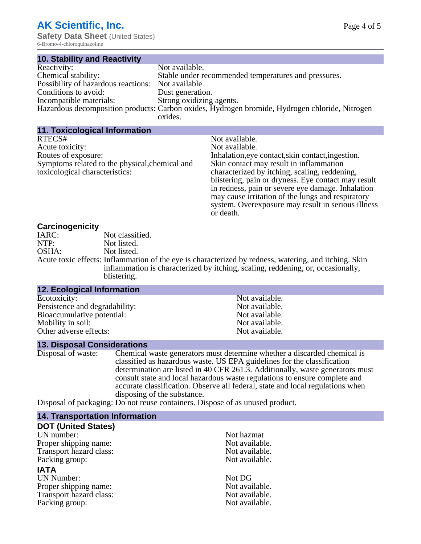6-Bromo-4-chloroquinazoline

| <b>10. Stability and Reactivity</b>                |                                                                                                |
|----------------------------------------------------|------------------------------------------------------------------------------------------------|
| Reactivity:                                        | Not available.                                                                                 |
| Chemical stability:                                | Stable under recommended temperatures and pressures.                                           |
| Possibility of hazardous reactions: Not available. |                                                                                                |
| Conditions to avoid:                               | Dust generation.                                                                               |
| Incompatible materials:                            | Strong oxidizing agents.                                                                       |
|                                                    | Hazardous decomposition products: Carbon oxides, Hydrogen bromide, Hydrogen chloride, Nitrogen |
|                                                    | oxides.                                                                                        |

| 11. Toxicological Information                  |                                                     |
|------------------------------------------------|-----------------------------------------------------|
| RTECS#                                         | Not available.                                      |
| Acute toxicity:                                | Not available.                                      |
| Routes of exposure:                            | Inhalation, eye contact, skin contact, ingestion.   |
| Symptoms related to the physical, chemical and | Skin contact may result in inflammation             |
| toxicological characteristics:                 | characterized by itching, scaling, reddening,       |
|                                                | blistering, pain or dryness. Eye contact may result |
|                                                | in redness, pain or severe eye damage. Inhalation   |
|                                                | may cause irritation of the lungs and respiratory   |
|                                                | system. Overexposure may result in serious illness  |
|                                                | or death.                                           |

### **Carcinogenicity**

| <u>saron isayi non v</u> |                                                                                                       |
|--------------------------|-------------------------------------------------------------------------------------------------------|
| IARC:                    | Not classified.                                                                                       |
| NTP:                     | Not listed.                                                                                           |
| OSHA:                    | Not listed.                                                                                           |
|                          | Acute toxic effects: Inflammation of the eye is characterized by redness, watering, and itching. Skin |
|                          | inflammation is characterized by itching, scaling, reddening, or, occasionally,                       |
|                          | blistering.                                                                                           |

#### **12. Ecological Information**

Ecotoxicity: Not available.<br>
Not available.<br>
Not available.<br>
Not available. Persistence and degradability:<br>Bioaccumulative potential:<br>Not available. Bioaccumulative potential: Mobility in soil: Not available. Other adverse effects: Not available.

#### **13. Disposal Considerations**

Disposal of waste: Chemical waste generators must determine whether a discarded chemical is classified as hazardous waste. US EPA guidelines for the classification determination are listed in 40 CFR 261.3. Additionally, waste generators must consult state and local hazardous waste regulations to ensure complete and accurate classification. Observe all federal, state and local regulations when disposing of the substance.

Disposal of packaging: Do not reuse containers. Dispose of as unused product.

## **14. Transportation Information**

## **DOT (United States)**

UN number:<br>
Proper shipping name:<br>
Not available. Proper shipping name: Transport hazard class: Not available. Packing group: Not available.

#### **IATA**

UN Number: Not DG Proper shipping name:<br>
Transport hazard class:<br>
Not available. Transport hazard class:<br>
Packing group: Not available.<br>
Not available. Packing group: